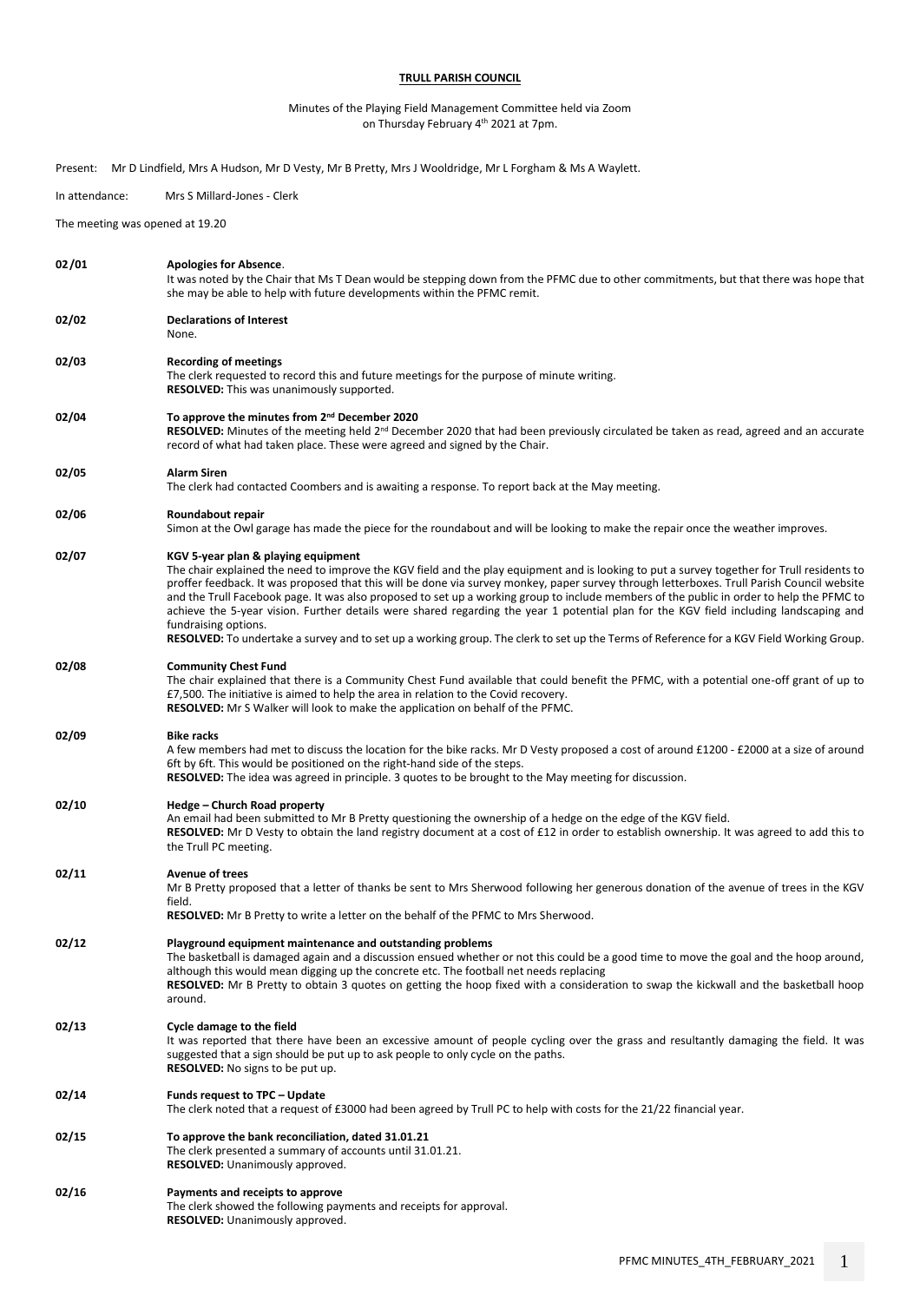## **TRULL PARISH COUNCIL**

## Minutes of the Playing Field Management Committee held via Zoom on Thursday February 4th 2021 at 7pm.

|                | Present: Mr D Lindfield, Mrs A Hudson, Mr D Vesty, Mr B Pretty, Mrs J Wooldridge, Mr L Forgham & Ms A Waylett.                                                                                                                                                                                                                                                                                                                                                                                                                                                                                                                                                                                                                                                                              |
|----------------|---------------------------------------------------------------------------------------------------------------------------------------------------------------------------------------------------------------------------------------------------------------------------------------------------------------------------------------------------------------------------------------------------------------------------------------------------------------------------------------------------------------------------------------------------------------------------------------------------------------------------------------------------------------------------------------------------------------------------------------------------------------------------------------------|
| In attendance: | Mrs S Millard-Jones - Clerk                                                                                                                                                                                                                                                                                                                                                                                                                                                                                                                                                                                                                                                                                                                                                                 |
|                | The meeting was opened at 19.20                                                                                                                                                                                                                                                                                                                                                                                                                                                                                                                                                                                                                                                                                                                                                             |
| 02/01          | <b>Apologies for Absence.</b><br>It was noted by the Chair that Ms T Dean would be stepping down from the PFMC due to other commitments, but that there was hope that<br>she may be able to help with future developments within the PFMC remit.                                                                                                                                                                                                                                                                                                                                                                                                                                                                                                                                            |
| 02/02          | <b>Declarations of Interest</b><br>None.                                                                                                                                                                                                                                                                                                                                                                                                                                                                                                                                                                                                                                                                                                                                                    |
| 02/03          | <b>Recording of meetings</b><br>The clerk requested to record this and future meetings for the purpose of minute writing.<br>RESOLVED: This was unanimously supported.                                                                                                                                                                                                                                                                                                                                                                                                                                                                                                                                                                                                                      |
| 02/04          | To approve the minutes from 2 <sup>nd</sup> December 2020<br>RESOLVED: Minutes of the meeting held 2 <sup>nd</sup> December 2020 that had been previously circulated be taken as read, agreed and an accurate<br>record of what had taken place. These were agreed and signed by the Chair.                                                                                                                                                                                                                                                                                                                                                                                                                                                                                                 |
| 02/05          | <b>Alarm Siren</b><br>The clerk had contacted Coombers and is awaiting a response. To report back at the May meeting.                                                                                                                                                                                                                                                                                                                                                                                                                                                                                                                                                                                                                                                                       |
| 02/06          | Roundabout repair<br>Simon at the Owl garage has made the piece for the roundabout and will be looking to make the repair once the weather improves.                                                                                                                                                                                                                                                                                                                                                                                                                                                                                                                                                                                                                                        |
| 02/07          | KGV 5-year plan & playing equipment<br>The chair explained the need to improve the KGV field and the play equipment and is looking to put a survey together for Trull residents to<br>proffer feedback. It was proposed that this will be done via survey monkey, paper survey through letterboxes. Trull Parish Council website<br>and the Trull Facebook page. It was also proposed to set up a working group to include members of the public in order to help the PFMC to<br>achieve the 5-year vision. Further details were shared regarding the year 1 potential plan for the KGV field including landscaping and<br>fundraising options.<br>RESOLVED: To undertake a survey and to set up a working group. The clerk to set up the Terms of Reference for a KGV Field Working Group. |
| 02/08          | <b>Community Chest Fund</b><br>The chair explained that there is a Community Chest Fund available that could benefit the PFMC, with a potential one-off grant of up to<br>£7,500. The initiative is aimed to help the area in relation to the Covid recovery.<br><b>RESOLVED:</b> Mr S Walker will look to make the application on behalf of the PFMC.                                                                                                                                                                                                                                                                                                                                                                                                                                      |
| 02/09          | <b>Bike racks</b><br>A few members had met to discuss the location for the bike racks. Mr D Vesty proposed a cost of around £1200 - £2000 at a size of around<br>6ft by 6ft. This would be positioned on the right-hand side of the steps.<br><b>RESOLVED:</b> The idea was agreed in principle. 3 quotes to be brought to the May meeting for discussion.                                                                                                                                                                                                                                                                                                                                                                                                                                  |
| 02/10          | Hedge - Church Road property<br>An email had been submitted to Mr B Pretty questioning the ownership of a hedge on the edge of the KGV field.<br>RESOLVED: Mr D Vesty to obtain the land registry document at a cost of £12 in order to establish ownership. It was agreed to add this to<br>the Trull PC meeting.                                                                                                                                                                                                                                                                                                                                                                                                                                                                          |
| 02/11          | <b>Avenue of trees</b><br>Mr B Pretty proposed that a letter of thanks be sent to Mrs Sherwood following her generous donation of the avenue of trees in the KGV<br>field.<br><b>RESOLVED:</b> Mr B Pretty to write a letter on the behalf of the PFMC to Mrs Sherwood.                                                                                                                                                                                                                                                                                                                                                                                                                                                                                                                     |
| 02/12          | Playground equipment maintenance and outstanding problems<br>The basketball is damaged again and a discussion ensued whether or not this could be a good time to move the goal and the hoop around,<br>although this would mean digging up the concrete etc. The football net needs replacing<br><b>RESOLVED:</b> Mr B Pretty to obtain 3 quotes on getting the hoop fixed with a consideration to swap the kickwall and the basketball hoop<br>around.                                                                                                                                                                                                                                                                                                                                     |
| 02/13          | Cycle damage to the field<br>It was reported that there have been an excessive amount of people cycling over the grass and resultantly damaging the field. It was<br>suggested that a sign should be put up to ask people to only cycle on the paths.<br><b>RESOLVED:</b> No signs to be put up.                                                                                                                                                                                                                                                                                                                                                                                                                                                                                            |
| 02/14          | Funds request to TPC - Update<br>The clerk noted that a request of £3000 had been agreed by Trull PC to help with costs for the 21/22 financial year.                                                                                                                                                                                                                                                                                                                                                                                                                                                                                                                                                                                                                                       |
| 02/15          | To approve the bank reconciliation, dated 31.01.21<br>The clerk presented a summary of accounts until 31.01.21.<br><b>RESOLVED:</b> Unanimously approved.                                                                                                                                                                                                                                                                                                                                                                                                                                                                                                                                                                                                                                   |
| 02/16          | Payments and receipts to approve<br>The clerk showed the following payments and receipts for approval.<br><b>RESOLVED:</b> Unanimously approved.                                                                                                                                                                                                                                                                                                                                                                                                                                                                                                                                                                                                                                            |